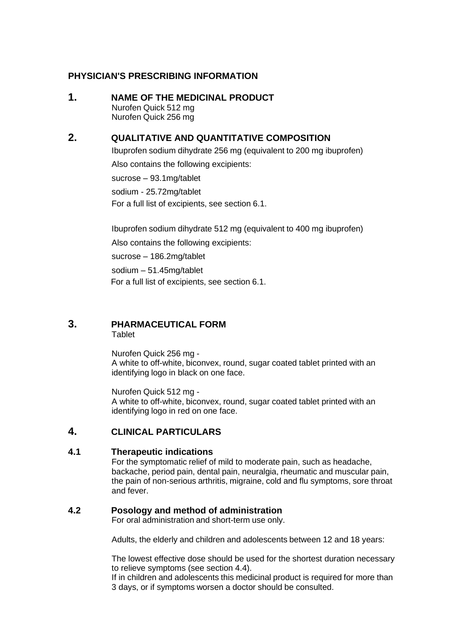# **PHYSICIAN'S PRESCRIBING INFORMATION**

### **1. NAME OF THE MEDICINAL PRODUCT** Nurofen Quick 512 mg Nurofen Quick 256 mg

# **2. QUALITATIVE AND QUANTITATIVE COMPOSITION**

Ibuprofen sodium dihydrate 256 mg (equivalent to 200 mg ibuprofen) Also contains the following excipients: sucrose – 93.1mg/tablet sodium - 25.72mg/tablet For a full list of excipients, see section 6.1.

Ibuprofen sodium dihydrate 512 mg (equivalent to 400 mg ibuprofen) Also contains the following excipients: sucrose – 186.2mg/tablet sodium – 51.45mg/tablet For a full list of excipients, see section 6.1.

# **3. PHARMACEUTICAL FORM**

**Tablet** 

Nurofen Quick 256 mg - A white to off-white, biconvex, round, sugar coated tablet printed with an identifying logo in black on one face.

Nurofen Quick 512 mg - A white to off-white, biconvex, round, sugar coated tablet printed with an identifying logo in red on one face.

# **4. CLINICAL PARTICULARS**

## **4.1 Therapeutic indications**

For the symptomatic relief of mild to moderate pain, such as headache, backache, period pain, dental pain, neuralgia, rheumatic and muscular pain, the pain of non-serious arthritis, migraine, cold and flu symptoms, sore throat and fever.

## **4.2 Posology and method of administration**

For oral administration and short-term use only.

Adults, the elderly and children and adolescents between 12 and 18 years:

The lowest effective dose should be used for the shortest duration necessary to relieve symptoms (see section 4.4).

If in children and adolescents this medicinal product is required for more than 3 days, or if symptoms worsen a doctor should be consulted.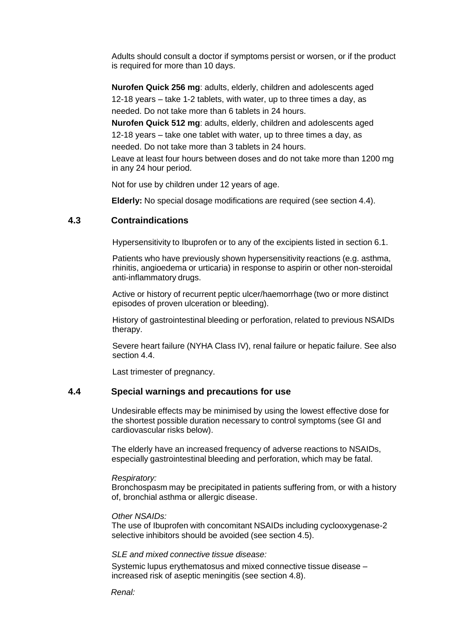Adults should consult a doctor if symptoms persist or worsen, or if the product is required for more than 10 days.

**Nurofen Quick 256 mg**: adults, elderly, children and adolescents aged 12-18 years – take 1-2 tablets, with water, up to three times a day, as needed. Do not take more than 6 tablets in 24 hours.

**Nurofen Quick 512 mg**: adults, elderly, children and adolescents aged 12-18 years – take one tablet with water, up to three times a day, as needed. Do not take more than 3 tablets in 24 hours.

Leave at least four hours between doses and do not take more than 1200 mg in any 24 hour period.

Not for use by children under 12 years of age.

**Elderly:** No special dosage modifications are required (see section 4.4).

### **4.3 Contraindications**

Hypersensitivity to Ibuprofen or to any of the excipients listed in section 6.1.

Patients who have previously shown hypersensitivity reactions (e.g. asthma, rhinitis, angioedema or urticaria) in response to aspirin or other non-steroidal anti-inflammatory drugs.

Active or history of recurrent peptic ulcer/haemorrhage (two or more distinct episodes of proven ulceration or bleeding).

History of gastrointestinal bleeding or perforation, related to previous NSAIDs therapy.

Severe heart failure (NYHA Class IV), renal failure or hepatic failure. See also section 4.4.

Last trimester of pregnancy.

### **4.4 Special warnings and precautions for use**

Undesirable effects may be minimised by using the lowest effective dose for the shortest possible duration necessary to control symptoms (see GI and cardiovascular risks below).

The elderly have an increased frequency of adverse reactions to NSAIDs, especially gastrointestinal bleeding and perforation, which may be fatal.

#### *Respiratory:*

Bronchospasm may be precipitated in patients suffering from, or with a history of, bronchial asthma or allergic disease.

#### *Other NSAIDs:*

The use of Ibuprofen with concomitant NSAIDs including cyclooxygenase-2 selective inhibitors should be avoided (see section 4.5).

#### *SLE and mixed connective tissue disease:*

Systemic lupus erythematosus and mixed connective tissue disease – increased risk of aseptic meningitis (see section 4.8).

*Renal:*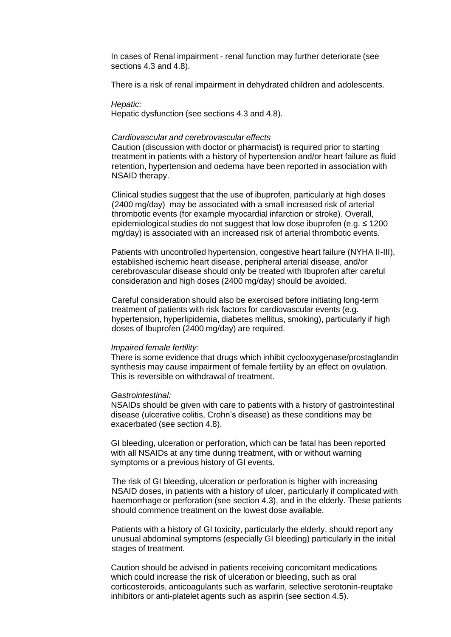In cases of Renal impairment - renal function may further deteriorate (see sections 4.3 and 4.8).

There is a risk of renal impairment in dehydrated children and adolescents.

#### *Hepatic:*

Hepatic dysfunction (see sections 4.3 and 4.8).

#### *Cardiovascular and cerebrovascular effects*

Caution (discussion with doctor or pharmacist) is required prior to starting treatment in patients with a history of hypertension and/or heart failure as fluid retention, hypertension and oedema have been reported in association with NSAID therapy.

Clinical studies suggest that the use of ibuprofen, particularly at high doses (2400 mg/day) may be associated with a small increased risk of arterial thrombotic events (for example myocardial infarction or stroke). Overall, epidemiological studies do not suggest that low dose ibuprofen (e.g. ≤ 1200 mg/day) is associated with an increased risk of arterial thrombotic events.

Patients with uncontrolled hypertension, congestive heart failure (NYHA II-III), established ischemic heart disease, peripheral arterial disease, and/or cerebrovascular disease should only be treated with Ibuprofen after careful consideration and high doses (2400 mg/day) should be avoided.

Careful consideration should also be exercised before initiating long-term treatment of patients with risk factors for cardiovascular events (e.g. hypertension, hyperlipidemia, diabetes mellitus, smoking), particularly if high doses of Ibuprofen (2400 mg/day) are required.

#### *Impaired female fertility:*

There is some evidence that drugs which inhibit cyclooxygenase/prostaglandin synthesis may cause impairment of female fertility by an effect on ovulation. This is reversible on withdrawal of treatment.

#### *Gastrointestinal:*

NSAIDs should be given with care to patients with a history of gastrointestinal disease (ulcerative colitis, Crohn's disease) as these conditions may be exacerbated (see section 4.8).

GI bleeding, ulceration or perforation, which can be fatal has been reported with all NSAIDs at any time during treatment, with or without warning symptoms or a previous history of GI events.

The risk of GI bleeding, ulceration or perforation is higher with increasing NSAID doses, in patients with a history of ulcer, particularly if complicated with haemorrhage or perforation (see section 4.3), and in the elderly. These patients should commence treatment on the lowest dose available.

Patients with a history of GI toxicity, particularly the elderly, should report any unusual abdominal symptoms (especially GI bleeding) particularly in the initial stages of treatment.

Caution should be advised in patients receiving concomitant medications which could increase the risk of ulceration or bleeding, such as oral corticosteroids, anticoagulants such as warfarin, selective serotonin-reuptake inhibitors or anti-platelet agents such as aspirin (see section 4.5).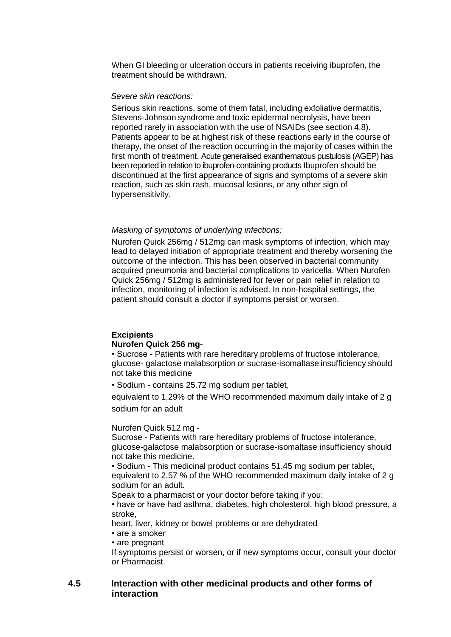When GI bleeding or ulceration occurs in patients receiving ibuprofen, the treatment should be withdrawn.

#### *Severe skin reactions:*

Serious skin reactions, some of them fatal, including exfoliative dermatitis, Stevens-Johnson syndrome and toxic epidermal necrolysis, have been reported rarely in association with the use of NSAIDs (see section 4.8). Patients appear to be at highest risk of these reactions early in the course of therapy, the onset of the reaction occurring in the majority of cases within the first month of treatment. Acute generalised exanthematous pustulosis (AGEP) has been reported in relation to ibuprofen-containing products Ibuprofen should be discontinued at the first appearance of signs and symptoms of a severe skin reaction, such as skin rash, mucosal lesions, or any other sign of hypersensitivity.

#### *Masking of symptoms of underlying infections:*

Nurofen Quick 256mg / 512mg can mask symptoms of infection, which may lead to delayed initiation of appropriate treatment and thereby worsening the outcome of the infection. This has been observed in bacterial community acquired pneumonia and bacterial complications to varicella. When Nurofen Quick 256mg / 512mg is administered for fever or pain relief in relation to infection, monitoring of infection is advised. In non-hospital settings, the patient should consult a doctor if symptoms persist or worsen.

#### **Excipients**

#### **Nurofen Quick 256 mg-**

• Sucrose - Patients with rare hereditary problems of fructose intolerance, glucose- galactose malabsorption or sucrase-isomaltase insufficiency should not take this medicine

• Sodium - contains 25.72 mg sodium per tablet,

equivalent to 1.29% of the WHO recommended maximum daily intake of 2 g sodium for an adult

#### Nurofen Quick 512 mg -

Sucrose - Patients with rare hereditary problems of fructose intolerance, glucose-galactose malabsorption or sucrase-isomaltase insufficiency should not take this medicine.

• Sodium - This medicinal product contains 51.45 mg sodium per tablet, equivalent to 2.57 % of the WHO recommended maximum daily intake of 2 g sodium for an adult.

Speak to a pharmacist or your doctor before taking if you:

• have or have had asthma, diabetes, high cholesterol, high blood pressure, a stroke,

heart, liver, kidney or bowel problems or are dehydrated

- are a smoker
- are pregnant

If symptoms persist or worsen, or if new symptoms occur, consult your doctor or Pharmacist.

### **4.5 Interaction with other medicinal products and other forms of interaction**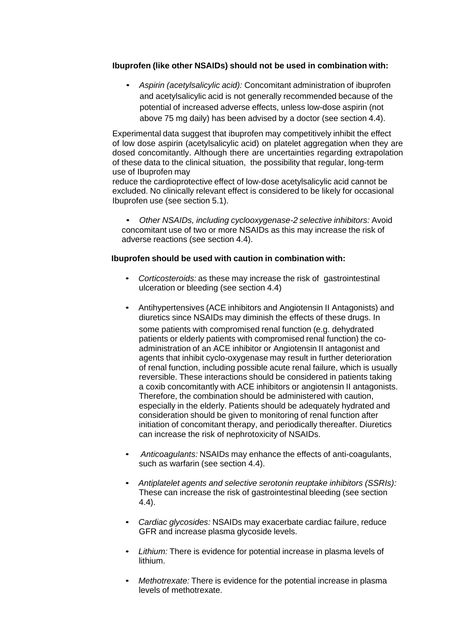### **Ibuprofen (like other NSAIDs) should not be used in combination with:**

• *Aspirin (acetylsalicylic acid):* Concomitant administration of ibuprofen and acetylsalicylic acid is not generally recommended because of the potential of increased adverse effects, unless low-dose aspirin (not above 75 mg daily) has been advised by a doctor (see section 4.4).

Experimental data suggest that ibuprofen may competitively inhibit the effect of low dose aspirin (acetylsalicylic acid) on platelet aggregation when they are dosed concomitantly. Although there are uncertainties regarding extrapolation of these data to the clinical situation, the possibility that regular, long-term use of Ibuprofen may

reduce the cardioprotective effect of low-dose acetylsalicylic acid cannot be excluded. No clinically relevant effect is considered to be likely for occasional Ibuprofen use (see section 5.1).

• *Other NSAIDs, including cyclooxygenase-2 selective inhibitors:* Avoid concomitant use of two or more NSAIDs as this may increase the risk of adverse reactions (see section 4.4).

### **Ibuprofen should be used with caution in combination with:**

- *Corticosteroids:* as these may increase the risk of gastrointestinal ulceration or bleeding (see section 4.4)
- Antihypertensives (ACE inhibitors and Angiotensin II Antagonists) and diuretics since NSAIDs may diminish the effects of these drugs. In some patients with compromised renal function (e.g. dehydrated

patients or elderly patients with compromised renal function) the coadministration of an ACE inhibitor or Angiotensin II antagonist and agents that inhibit cyclo-oxygenase may result in further deterioration of renal function, including possible acute renal failure, which is usually reversible. These interactions should be considered in patients taking a coxib concomitantly with ACE inhibitors or angiotensin II antagonists. Therefore, the combination should be administered with caution, especially in the elderly. Patients should be adequately hydrated and consideration should be given to monitoring of renal function after initiation of concomitant therapy, and periodically thereafter. Diuretics can increase the risk of nephrotoxicity of NSAIDs.

- *Anticoagulants:* NSAIDs may enhance the effects of anti-coagulants, such as warfarin (see section 4.4).
- *Antiplatelet agents and selective serotonin reuptake inhibitors (SSRIs):* These can increase the risk of gastrointestinal bleeding (see section 4.4).
- *Cardiac glycosides:* NSAIDs may exacerbate cardiac failure, reduce GFR and increase plasma glycoside levels.
- *Lithium:* There is evidence for potential increase in plasma levels of lithium.
- *Methotrexate:* There is evidence for the potential increase in plasma levels of methotrexate.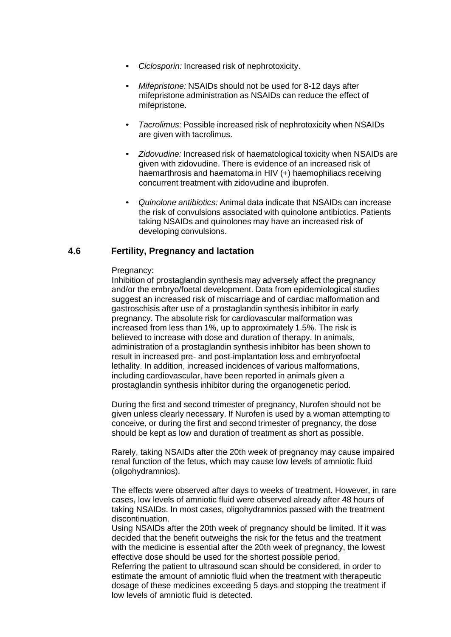- *Ciclosporin:* Increased risk of nephrotoxicity.
- *Mifepristone:* NSAIDs should not be used for 8-12 days after mifepristone administration as NSAIDs can reduce the effect of mifepristone.
- *Tacrolimus:* Possible increased risk of nephrotoxicity when NSAIDs are given with tacrolimus.
- *Zidovudine:* Increased risk of haematological toxicity when NSAIDs are given with zidovudine. There is evidence of an increased risk of haemarthrosis and haematoma in HIV (+) haemophiliacs receiving concurrent treatment with zidovudine and ibuprofen.
- *Quinolone antibiotics:* Animal data indicate that NSAIDs can increase the risk of convulsions associated with quinolone antibiotics. Patients taking NSAIDs and quinolones may have an increased risk of developing convulsions.

### **4.6 Fertility, Pregnancy and lactation**

#### Pregnancy:

Inhibition of prostaglandin synthesis may adversely affect the pregnancy and/or the embryo/foetal development. Data from epidemiological studies suggest an increased risk of miscarriage and of cardiac malformation and gastroschisis after use of a prostaglandin synthesis inhibitor in early pregnancy. The absolute risk for cardiovascular malformation was increased from less than 1%, up to approximately 1.5%. The risk is believed to increase with dose and duration of therapy. In animals, administration of a prostaglandin synthesis inhibitor has been shown to result in increased pre- and post-implantation loss and embryofoetal lethality. In addition, increased incidences of various malformations, including cardiovascular, have been reported in animals given a prostaglandin synthesis inhibitor during the organogenetic period.

During the first and second trimester of pregnancy, Nurofen should not be given unless clearly necessary. If Nurofen is used by a woman attempting to conceive, or during the first and second trimester of pregnancy, the dose should be kept as low and duration of treatment as short as possible.

Rarely, taking NSAIDs after the 20th week of pregnancy may cause impaired renal function of the fetus, which may cause low levels of amniotic fluid (oligohydramnios).

The effects were observed after days to weeks of treatment. However, in rare cases, low levels of amniotic fluid were observed already after 48 hours of taking NSAIDs. In most cases, oligohydramnios passed with the treatment discontinuation.

Using NSAIDs after the 20th week of pregnancy should be limited. If it was decided that the benefit outweighs the risk for the fetus and the treatment with the medicine is essential after the 20th week of pregnancy, the lowest effective dose should be used for the shortest possible period.

Referring the patient to ultrasound scan should be considered, in order to estimate the amount of amniotic fluid when the treatment with therapeutic dosage of these medicines exceeding 5 days and stopping the treatment if low levels of amniotic fluid is detected.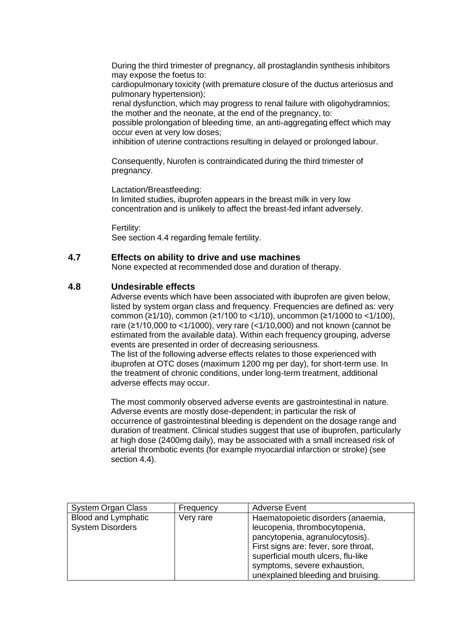During the third trimester of pregnancy, all prostaglandin synthesis inhibitors may expose the foetus to:

cardiopulmonary toxicity (with premature closure of the ductus arteriosus and pulmonary hypertension);

renal dysfunction, which may progress to renal failure with oligohydramnios; the mother and the neonate, at the end of the pregnancy, to:

possible prolongation of bleeding time, an anti-aggregating effect which may occur even at very low doses;

inhibition of uterine contractions resulting in delayed or prolonged labour.

Consequently, Nurofen is contraindicated during the third trimester of pregnancy.

Lactation/Breastfeeding:

In limited studies, ibuprofen appears in the breast milk in very low concentration and is unlikely to affect the breast-fed infant adversely.

Fertility: See section 4.4 regarding female fertility.

### **4.7 Effects on ability to drive and use machines**

None expected at recommended dose and duration of therapy.

### **4.8 Undesirable effects**

Adverse events which have been associated with ibuprofen are given below, listed by system organ class and frequency. Frequencies are defined as: very common (≥1/10), common (≥1/100 to <1/10), uncommon (≥1/1000 to <1/100), rare (≥1/10,000 to <1/1000), very rare (<1/10,000) and not known (cannot be estimated from the available data). Within each frequency grouping, adverse events are presented in order of decreasing seriousness. The list of the following adverse effects relates to those experienced with ibuprofen at OTC doses (maximum 1200 mg per day), for short-term use. In the treatment of chronic conditions, under long-term treatment, additional adverse effects may occur.

The most commonly observed adverse events are gastrointestinal in nature. Adverse events are mostly dose-dependent; in particular the risk of occurrence of gastrointestinal bleeding is dependent on the dosage range and duration of treatment. Clinical studies suggest that use of ibuprofen, particularly at high dose (2400mg daily), may be associated with a small increased risk of arterial thrombotic events (for example myocardial infarction or stroke) (see section 4.4).

| System Organ Class         | Frequency | <b>Adverse Event</b>                 |
|----------------------------|-----------|--------------------------------------|
| <b>Blood and Lymphatic</b> | Very rare | Haematopoietic disorders (anaemia,   |
| <b>System Disorders</b>    |           | leucopenia, thrombocytopenia,        |
|                            |           | pancytopenia, agranulocytosis).      |
|                            |           | First signs are: fever, sore throat, |
|                            |           | superficial mouth ulcers, flu-like   |
|                            |           | symptoms, severe exhaustion,         |
|                            |           | unexplained bleeding and bruising.   |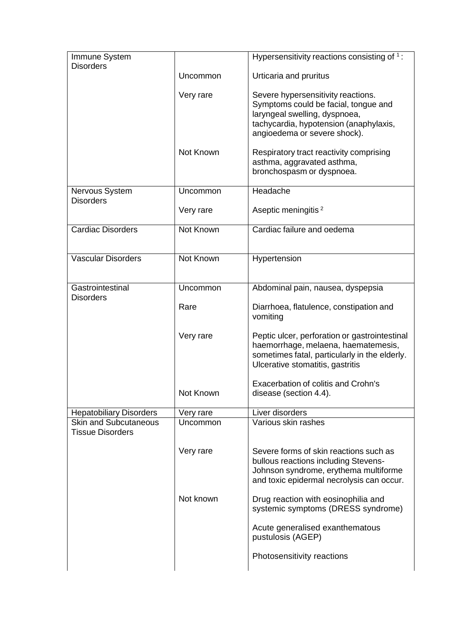| Immune System                                           |           | Hypersensitivity reactions consisting of 1:                                                                                                                                           |
|---------------------------------------------------------|-----------|---------------------------------------------------------------------------------------------------------------------------------------------------------------------------------------|
| <b>Disorders</b>                                        | Uncommon  | Urticaria and pruritus                                                                                                                                                                |
|                                                         | Very rare | Severe hypersensitivity reactions.<br>Symptoms could be facial, tongue and<br>laryngeal swelling, dyspnoea,<br>tachycardia, hypotension (anaphylaxis,<br>angioedema or severe shock). |
|                                                         | Not Known | Respiratory tract reactivity comprising<br>asthma, aggravated asthma,<br>bronchospasm or dyspnoea.                                                                                    |
| Nervous System<br><b>Disorders</b>                      | Uncommon  | Headache                                                                                                                                                                              |
|                                                         | Very rare | Aseptic meningitis <sup>2</sup>                                                                                                                                                       |
| <b>Cardiac Disorders</b>                                | Not Known | Cardiac failure and oedema                                                                                                                                                            |
| <b>Vascular Disorders</b>                               | Not Known | Hypertension                                                                                                                                                                          |
| Gastrointestinal                                        | Uncommon  | Abdominal pain, nausea, dyspepsia                                                                                                                                                     |
| <b>Disorders</b>                                        | Rare      | Diarrhoea, flatulence, constipation and<br>vomiting                                                                                                                                   |
|                                                         | Very rare | Peptic ulcer, perforation or gastrointestinal<br>haemorrhage, melaena, haematemesis,<br>sometimes fatal, particularly in the elderly.<br>Ulcerative stomatitis, gastritis             |
|                                                         | Not Known | Exacerbation of colitis and Crohn's<br>disease (section 4.4).                                                                                                                         |
| <b>Hepatobiliary Disorders</b>                          | Very rare | Liver disorders                                                                                                                                                                       |
| <b>Skin and Subcutaneous</b><br><b>Tissue Disorders</b> | Uncommon  | Various skin rashes                                                                                                                                                                   |
|                                                         | Very rare | Severe forms of skin reactions such as<br>bullous reactions including Stevens-<br>Johnson syndrome, erythema multiforme<br>and toxic epidermal necrolysis can occur.                  |
|                                                         | Not known | Drug reaction with eosinophilia and<br>systemic symptoms (DRESS syndrome)                                                                                                             |
|                                                         |           | Acute generalised exanthematous<br>pustulosis (AGEP)                                                                                                                                  |
|                                                         |           | Photosensitivity reactions                                                                                                                                                            |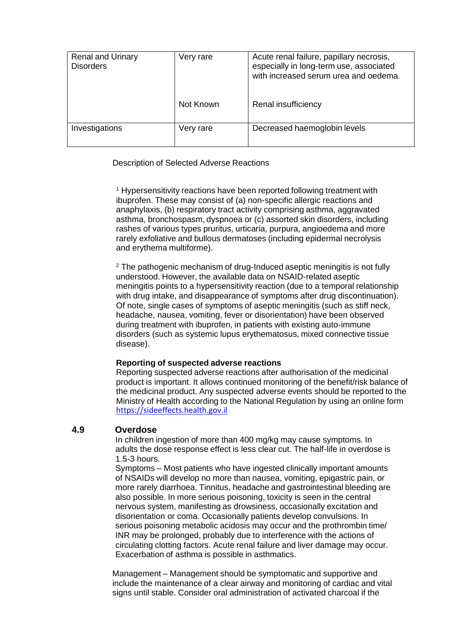| <b>Renal and Urinary</b><br><b>Disorders</b> | Very rare | Acute renal failure, papillary necrosis,<br>especially in long-term use, associated<br>with increased serum urea and oedema. |
|----------------------------------------------|-----------|------------------------------------------------------------------------------------------------------------------------------|
|                                              | Not Known | Renal insufficiency                                                                                                          |
| Investigations                               | Very rare | Decreased haemoglobin levels                                                                                                 |

Description of Selected Adverse Reactions

<sup>1</sup> Hypersensitivity reactions have been reported following treatment with ibuprofen. These may consist of (a) non-specific allergic reactions and anaphylaxis, (b) respiratory tract activity comprising asthma, aggravated asthma, bronchospasm, dyspnoea or (c) assorted skin disorders, including rashes of various types pruritus, urticaria, purpura, angioedema and more rarely exfoliative and bullous dermatoses (including epidermal necrolysis and erythema multiforme).

<sup>2</sup> The pathogenic mechanism of drug-Induced aseptic meningitis is not fully understood. However, the available data on NSAID-related aseptic meningitis points to a hypersensitivity reaction (due to a temporal relationship with drug intake, and disappearance of symptoms after drug discontinuation). Of note, single cases of symptoms of aseptic meningitis (such as stiff neck, headache, nausea, vomiting, fever or disorientation) have been observed during treatment with ibuprofen, in patients with existing auto-immune disorders (such as systemic lupus erythematosus, mixed connective tissue disease).

### **Reporting of suspected adverse reactions**

Reporting suspected adverse reactions after authorisation of the medicinal product is important. It allows continued monitoring of the benefit/risk balance of the medicinal product. Any suspected adverse events should be reported to the Ministry of Health according to the National Regulation by using an online form [https://sideeffects.health.gov.il](https://sideeffects.health.gov.il/)

## **4.9 Overdose**

In children ingestion of more than 400 mg/kg may cause symptoms. In adults the dose response effect is less clear cut. The half-life in overdose is 1.5-3 hours.

Symptoms – Most patients who have ingested clinically important amounts of NSAIDs will develop no more than nausea, vomiting, epigastric pain, or more rarely diarrhoea. Tinnitus, headache and gastrointestinal bleeding are also possible. In more serious poisoning, toxicity is seen in the central nervous system, manifesting as drowsiness, occasionally excitation and disorientation or coma. Occasionally patients develop convulsions. In serious poisoning metabolic acidosis may occur and the prothrombin time/ INR may be prolonged, probably due to interference with the actions of circulating clotting factors. Acute renal failure and liver damage may occur. Exacerbation of asthma is possible in asthmatics.

Management – Management should be symptomatic and supportive and include the maintenance of a clear airway and monitoring of cardiac and vital signs until stable. Consider oral administration of activated charcoal if the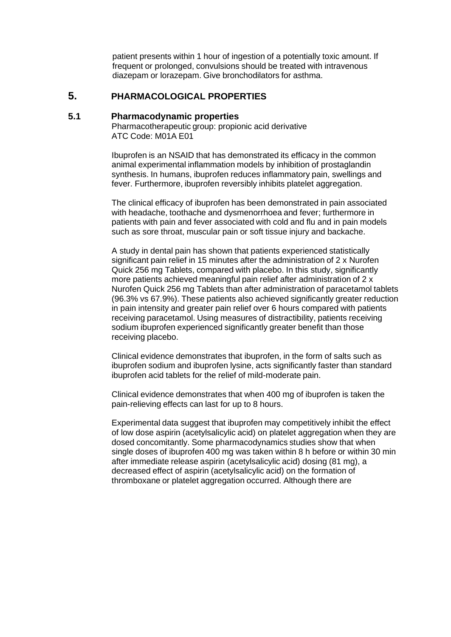patient presents within 1 hour of ingestion of a potentially toxic amount. If frequent or prolonged, convulsions should be treated with intravenous diazepam or lorazepam. Give bronchodilators for asthma.

# **5. PHARMACOLOGICAL PROPERTIES**

#### **5.1 Pharmacodynamic properties**

Pharmacotherapeutic group: propionic acid derivative ATC Code: M01A E01

Ibuprofen is an NSAID that has demonstrated its efficacy in the common animal experimental inflammation models by inhibition of prostaglandin synthesis. In humans, ibuprofen reduces inflammatory pain, swellings and fever. Furthermore, ibuprofen reversibly inhibits platelet aggregation.

The clinical efficacy of ibuprofen has been demonstrated in pain associated with headache, toothache and dysmenorrhoea and fever; furthermore in patients with pain and fever associated with cold and flu and in pain models such as sore throat, muscular pain or soft tissue injury and backache.

A study in dental pain has shown that patients experienced statistically significant pain relief in 15 minutes after the administration of 2 x Nurofen Quick 256 mg Tablets, compared with placebo. In this study, significantly more patients achieved meaningful pain relief after administration of 2 x Nurofen Quick 256 mg Tablets than after administration of paracetamol tablets (96.3% vs 67.9%). These patients also achieved significantly greater reduction in pain intensity and greater pain relief over 6 hours compared with patients receiving paracetamol. Using measures of distractibility, patients receiving sodium ibuprofen experienced significantly greater benefit than those receiving placebo.

Clinical evidence demonstrates that ibuprofen, in the form of salts such as ibuprofen sodium and ibuprofen lysine, acts significantly faster than standard ibuprofen acid tablets for the relief of mild-moderate pain.

Clinical evidence demonstrates that when 400 mg of ibuprofen is taken the pain-relieving effects can last for up to 8 hours.

Experimental data suggest that ibuprofen may competitively inhibit the effect of low dose aspirin (acetylsalicylic acid) on platelet aggregation when they are dosed concomitantly. Some pharmacodynamics studies show that when single doses of ibuprofen 400 mg was taken within 8 h before or within 30 min after immediate release aspirin (acetylsalicylic acid) dosing (81 mg), a decreased effect of aspirin (acetylsalicylic acid) on the formation of thromboxane or platelet aggregation occurred. Although there are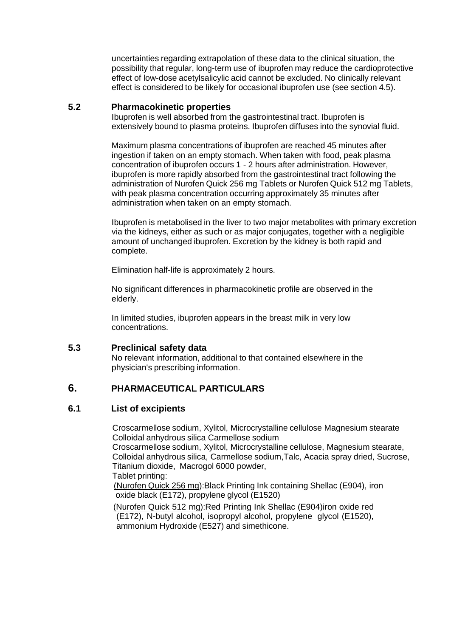uncertainties regarding extrapolation of these data to the clinical situation, the possibility that regular, long-term use of ibuprofen may reduce the cardioprotective effect of low-dose acetylsalicylic acid cannot be excluded. No clinically relevant effect is considered to be likely for occasional ibuprofen use (see section 4.5).

### **5.2 Pharmacokinetic properties**

Ibuprofen is well absorbed from the gastrointestinal tract. Ibuprofen is extensively bound to plasma proteins. Ibuprofen diffuses into the synovial fluid.

Maximum plasma concentrations of ibuprofen are reached 45 minutes after ingestion if taken on an empty stomach. When taken with food, peak plasma concentration of ibuprofen occurs 1 - 2 hours after administration. However, ibuprofen is more rapidly absorbed from the gastrointestinal tract following the administration of Nurofen Quick 256 mg Tablets or Nurofen Quick 512 mg Tablets, with peak plasma concentration occurring approximately 35 minutes after administration when taken on an empty stomach.

Ibuprofen is metabolised in the liver to two major metabolites with primary excretion via the kidneys, either as such or as major conjugates, together with a negligible amount of unchanged ibuprofen. Excretion by the kidney is both rapid and complete.

Elimination half-life is approximately 2 hours.

No significant differences in pharmacokinetic profile are observed in the elderly.

In limited studies, ibuprofen appears in the breast milk in very low concentrations.

### **5.3 Preclinical safety data**

No relevant information, additional to that contained elsewhere in the physician's prescribing information.

# **6. PHARMACEUTICAL PARTICULARS**

### **6.1 List of excipients**

Croscarmellose sodium, Xylitol, Microcrystalline cellulose Magnesium stearate Colloidal anhydrous silica Carmellose sodium

Croscarmellose sodium, Xylitol, Microcrystalline cellulose, Magnesium stearate, Colloidal anhydrous silica, Carmellose sodium,Talc, Acacia spray dried, Sucrose, Titanium dioxide, Macrogol 6000 powder, Tablet printing:

(Nurofen Quick 256 mg):Black Printing Ink containing Shellac (E904), iron oxide black (E172), propylene glycol (E1520)

(Nurofen Quick 512 mg):Red Printing Ink Shellac (E904)iron oxide red (E172), N-butyl alcohol, isopropyl alcohol, propylene glycol (E1520), ammonium Hydroxide (E527) and simethicone.